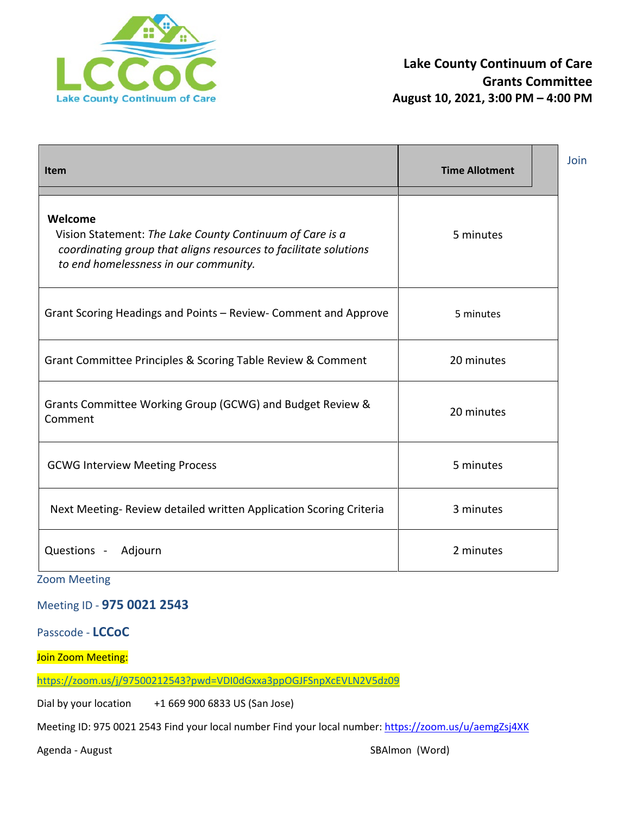

| Item                                                                                                                                                                             | <b>Time Allotment</b> | Join |
|----------------------------------------------------------------------------------------------------------------------------------------------------------------------------------|-----------------------|------|
| Welcome<br>Vision Statement: The Lake County Continuum of Care is a<br>coordinating group that aligns resources to facilitate solutions<br>to end homelessness in our community. | 5 minutes             |      |
| Grant Scoring Headings and Points - Review- Comment and Approve                                                                                                                  | 5 minutes             |      |
| Grant Committee Principles & Scoring Table Review & Comment                                                                                                                      | 20 minutes            |      |
| Grants Committee Working Group (GCWG) and Budget Review &<br>Comment                                                                                                             | 20 minutes            |      |
| <b>GCWG Interview Meeting Process</b>                                                                                                                                            | 5 minutes             |      |
| Next Meeting-Review detailed written Application Scoring Criteria                                                                                                                | 3 minutes             |      |
| Questions -<br>Adjourn                                                                                                                                                           | 2 minutes             |      |

Zoom Meeting

Meeting ID - **975 0021 2543**

Passcode - **LCCoC** 

Join Zoom Meeting:

<https://zoom.us/j/97500212543?pwd=VDI0dGxxa3ppOGJFSnpXcEVLN2V5dz09>

Dial by your location +1 669 900 6833 US (San Jose)

Meeting ID: 975 0021 2543 Find your local number Find your local number:<https://zoom.us/u/aemgZsj4XK>

Agenda - August **SBAlmon** (Word)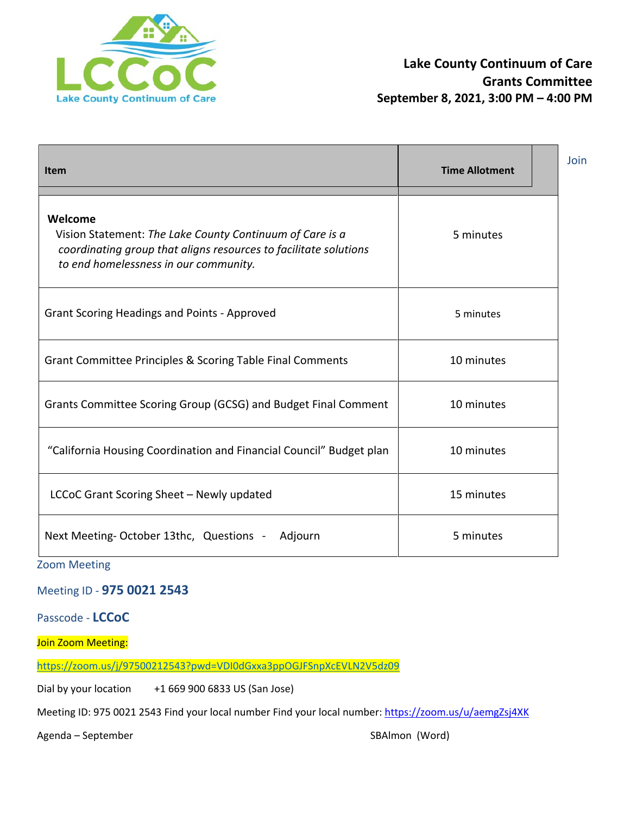

| <b>Item</b>                                                                                                                                                                      | <b>Time Allotment</b> | Join |
|----------------------------------------------------------------------------------------------------------------------------------------------------------------------------------|-----------------------|------|
| Welcome<br>Vision Statement: The Lake County Continuum of Care is a<br>coordinating group that aligns resources to facilitate solutions<br>to end homelessness in our community. | 5 minutes             |      |
| <b>Grant Scoring Headings and Points - Approved</b>                                                                                                                              | 5 minutes             |      |
| Grant Committee Principles & Scoring Table Final Comments                                                                                                                        | 10 minutes            |      |
| Grants Committee Scoring Group (GCSG) and Budget Final Comment                                                                                                                   | 10 minutes            |      |
| "California Housing Coordination and Financial Council" Budget plan                                                                                                              | 10 minutes            |      |
| LCCoC Grant Scoring Sheet - Newly updated                                                                                                                                        | 15 minutes            |      |
| Next Meeting-October 13thc, Questions -<br>Adjourn                                                                                                                               | 5 minutes             |      |

Zoom Meeting

Meeting ID - **975 0021 2543**

Passcode - **LCCoC** 

Join Zoom Meeting:

<https://zoom.us/j/97500212543?pwd=VDI0dGxxa3ppOGJFSnpXcEVLN2V5dz09>

Dial by your location +1 669 900 6833 US (San Jose)

Meeting ID: 975 0021 2543 Find your local number Find your local number:<https://zoom.us/u/aemgZsj4XK>

Agenda – September SBAlmon (Word)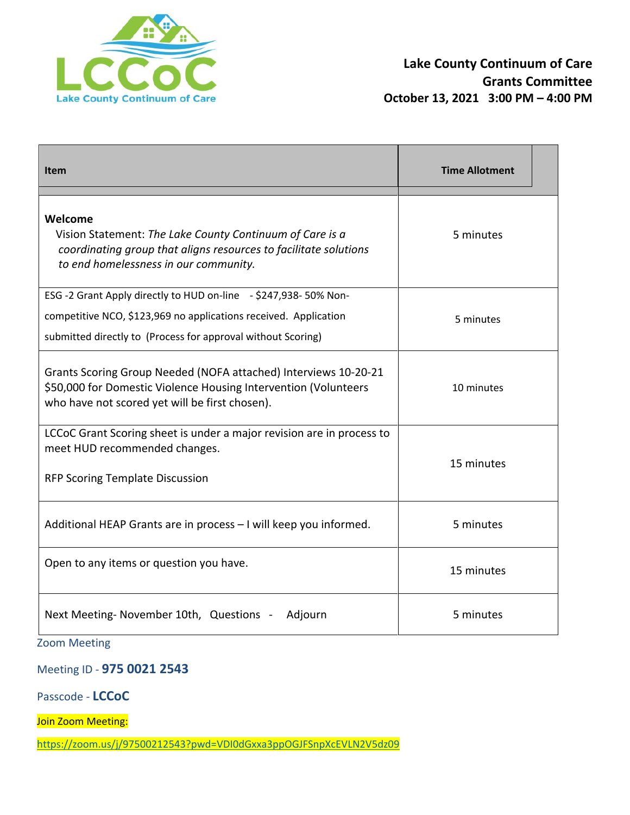

| <b>Item</b>                                                                                                                                                                                         | <b>Time Allotment</b> |
|-----------------------------------------------------------------------------------------------------------------------------------------------------------------------------------------------------|-----------------------|
| Welcome<br>Vision Statement: The Lake County Continuum of Care is a<br>coordinating group that aligns resources to facilitate solutions<br>to end homelessness in our community.                    | 5 minutes             |
| ESG -2 Grant Apply directly to HUD on-line - \$247,938-50% Non-<br>competitive NCO, \$123,969 no applications received. Application<br>submitted directly to (Process for approval without Scoring) | 5 minutes             |
| Grants Scoring Group Needed (NOFA attached) Interviews 10-20-21<br>\$50,000 for Domestic Violence Housing Intervention (Volunteers<br>who have not scored yet will be first chosen).                | 10 minutes            |
| LCCoC Grant Scoring sheet is under a major revision are in process to<br>meet HUD recommended changes.<br><b>RFP Scoring Template Discussion</b>                                                    | 15 minutes            |
| Additional HEAP Grants are in process - I will keep you informed.                                                                                                                                   | 5 minutes             |
| Open to any items or question you have.                                                                                                                                                             | 15 minutes            |
| Next Meeting-November 10th, Questions -<br>Adjourn                                                                                                                                                  | 5 minutes             |

Zoom Meeting

Meeting ID - **975 0021 2543**

Passcode - **LCCoC** 

Join Zoom Meeting:

<https://zoom.us/j/97500212543?pwd=VDI0dGxxa3ppOGJFSnpXcEVLN2V5dz09>